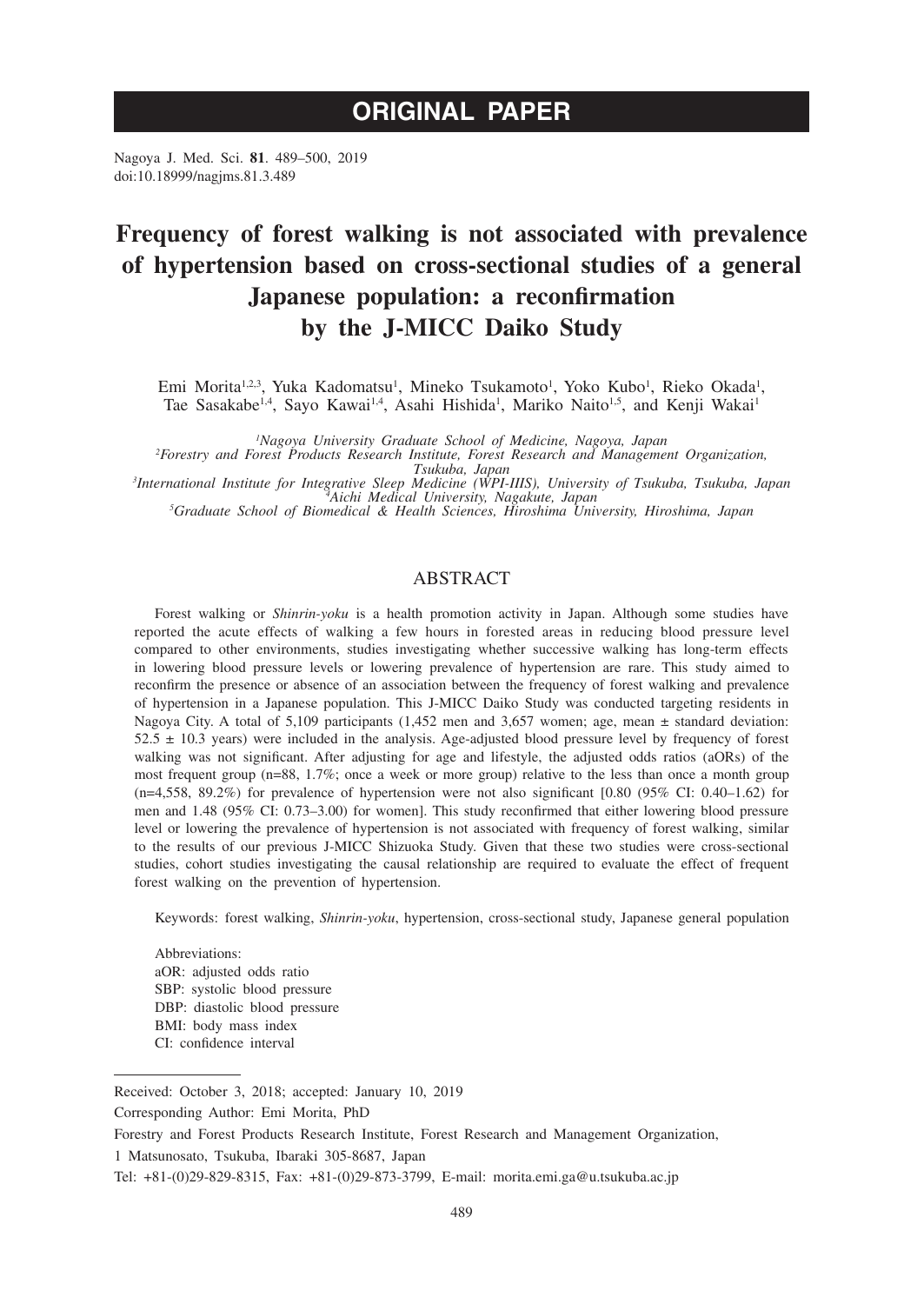# **ORIGINAL PAPER**

Nagoya J. Med. Sci. **81**. 489–500, 2019 doi:10.18999/nagjms.81.3.489

# **Frequency of forest walking is not associated with prevalence of hypertension based on cross-sectional studies of a general Japanese population: a reconfirmation by the J-MICC Daiko Study**

Emi Morita<sup>1,2,3</sup>, Yuka Kadomatsu<sup>1</sup>, Mineko Tsukamoto<sup>1</sup>, Yoko Kubo<sup>1</sup>, Rieko Okada<sup>1</sup>, Tae Sasakabe<sup>1,4</sup>, Sayo Kawai<sup>1,4</sup>, Asahi Hishida<sup>1</sup>, Mariko Naito<sup>1,5</sup>, and Kenji Wakai<sup>1</sup>

*1 Nagoya University Graduate School of Medicine, Nagoya, Japan <sup>2</sup>*

*Forestry and Forest Products Research Institute, Forest Research and Management Organization,*  Tsukuba, Japan<br>International Institute for Integrative Sleep Medicine (WPI-IIIS), University of Tsukuba, Tsukuba, Japan<sup>3</sup><br>Graduate School of Biomedical & Health Sciences, Hiroshima University, Hiroshima, Japan<sup>5</sup>

## ABSTRACT

Forest walking or *Shinrin-yoku* is a health promotion activity in Japan. Although some studies have reported the acute effects of walking a few hours in forested areas in reducing blood pressure level compared to other environments, studies investigating whether successive walking has long-term effects in lowering blood pressure levels or lowering prevalence of hypertension are rare. This study aimed to reconfirm the presence or absence of an association between the frequency of forest walking and prevalence of hypertension in a Japanese population. This J-MICC Daiko Study was conducted targeting residents in Nagoya City. A total of 5,109 participants (1,452 men and 3,657 women; age, mean ± standard deviation:  $52.5 \pm 10.3$  years) were included in the analysis. Age-adjusted blood pressure level by frequency of forest walking was not significant. After adjusting for age and lifestyle, the adjusted odds ratios (aORs) of the most frequent group (n=88, 1.7%; once a week or more group) relative to the less than once a month group  $(n=4,558, 89.2%)$  for prevalence of hypertension were not also significant [0.80 (95% CI: 0.40–1.62) for men and 1.48 (95% CI: 0.73–3.00) for women]. This study reconfirmed that either lowering blood pressure level or lowering the prevalence of hypertension is not associated with frequency of forest walking, similar to the results of our previous J-MICC Shizuoka Study. Given that these two studies were cross-sectional studies, cohort studies investigating the causal relationship are required to evaluate the effect of frequent forest walking on the prevention of hypertension.

Keywords: forest walking, *Shinrin-yoku*, hypertension, cross-sectional study, Japanese general population

Abbreviations: aOR: adjusted odds ratio SBP: systolic blood pressure DBP: diastolic blood pressure BMI: body mass index CI: confidence interval

Received: October 3, 2018; accepted: January 10, 2019

Corresponding Author: Emi Morita, PhD

Forestry and Forest Products Research Institute, Forest Research and Management Organization,

<sup>1</sup> Matsunosato, Tsukuba, Ibaraki 305-8687, Japan

Tel: +81-(0)29-829-8315, Fax: +81-(0)29-873-3799, E-mail: morita.emi.ga@u.tsukuba.ac.jp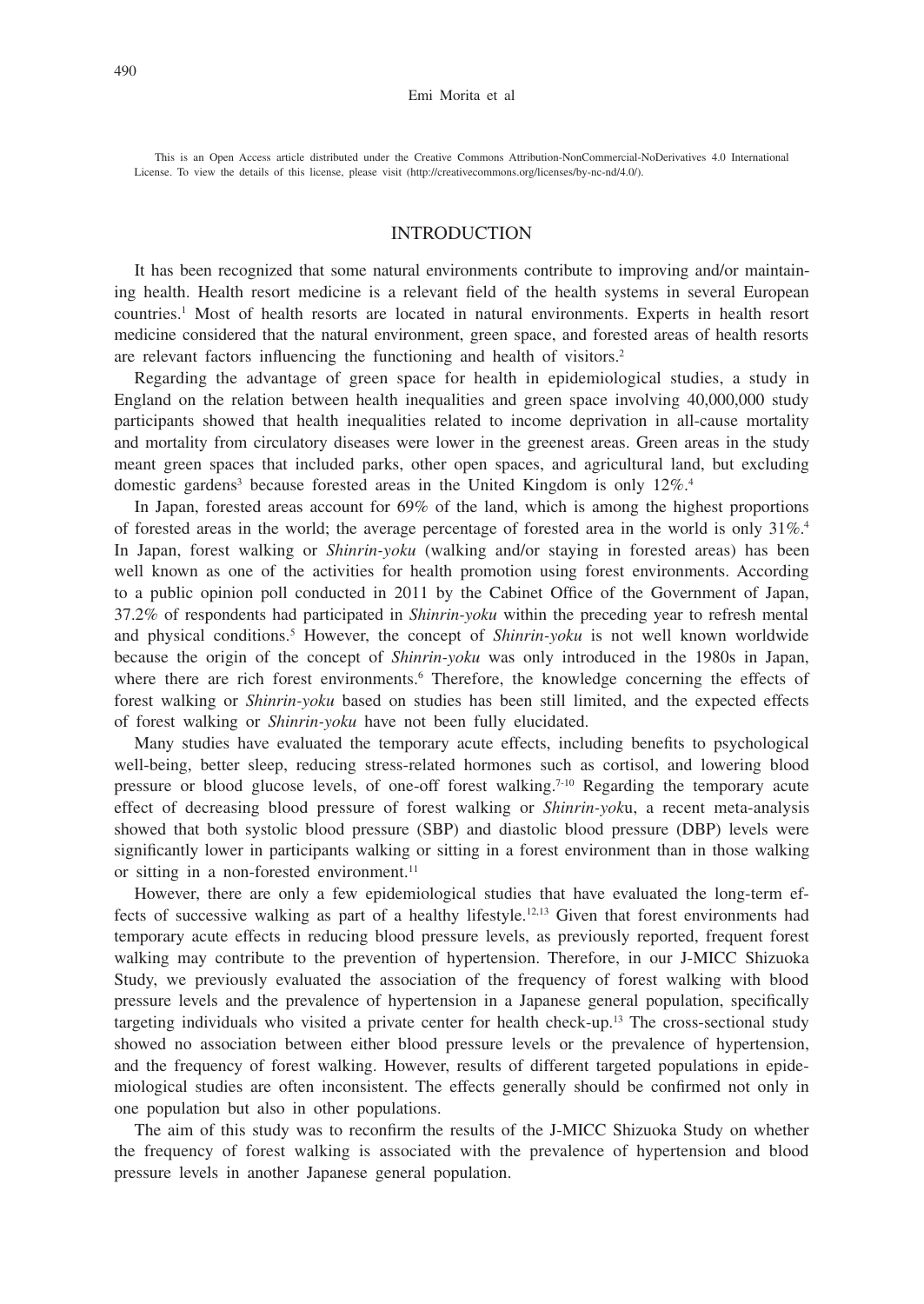This is an Open Access article distributed under the Creative Commons Attribution-NonCommercial-NoDerivatives 4.0 International License. To view the details of this license, please visit (http://creativecommons.org/licenses/by-nc-nd/4.0/).

# INTRODUCTION

It has been recognized that some natural environments contribute to improving and/or maintaining health. Health resort medicine is a relevant field of the health systems in several European countries.1 Most of health resorts are located in natural environments. Experts in health resort medicine considered that the natural environment, green space, and forested areas of health resorts are relevant factors influencing the functioning and health of visitors.2

Regarding the advantage of green space for health in epidemiological studies, a study in England on the relation between health inequalities and green space involving 40,000,000 study participants showed that health inequalities related to income deprivation in all-cause mortality and mortality from circulatory diseases were lower in the greenest areas. Green areas in the study meant green spaces that included parks, other open spaces, and agricultural land, but excluding domestic gardens<sup>3</sup> because forested areas in the United Kingdom is only 12%.<sup>4</sup>

In Japan, forested areas account for 69% of the land, which is among the highest proportions of forested areas in the world; the average percentage of forested area in the world is only  $31\%$ .<sup>4</sup> In Japan, forest walking or *Shinrin-yoku* (walking and/or staying in forested areas) has been well known as one of the activities for health promotion using forest environments. According to a public opinion poll conducted in 2011 by the Cabinet Office of the Government of Japan, 37.2% of respondents had participated in *Shinrin-yoku* within the preceding year to refresh mental and physical conditions.<sup>5</sup> However, the concept of *Shinrin-yoku* is not well known worldwide because the origin of the concept of *Shinrin-yoku* was only introduced in the 1980s in Japan, where there are rich forest environments.<sup>6</sup> Therefore, the knowledge concerning the effects of forest walking or *Shinrin-yoku* based on studies has been still limited, and the expected effects of forest walking or *Shinrin-yoku* have not been fully elucidated.

Many studies have evaluated the temporary acute effects, including benefits to psychological well-being, better sleep, reducing stress-related hormones such as cortisol, and lowering blood pressure or blood glucose levels, of one-off forest walking.<sup>7-10</sup> Regarding the temporary acute effect of decreasing blood pressure of forest walking or *Shinrin-yok*u, a recent meta-analysis showed that both systolic blood pressure (SBP) and diastolic blood pressure (DBP) levels were significantly lower in participants walking or sitting in a forest environment than in those walking or sitting in a non-forested environment.<sup>11</sup>

However, there are only a few epidemiological studies that have evaluated the long-term effects of successive walking as part of a healthy lifestyle.<sup>12,13</sup> Given that forest environments had temporary acute effects in reducing blood pressure levels, as previously reported, frequent forest walking may contribute to the prevention of hypertension. Therefore, in our J-MICC Shizuoka Study, we previously evaluated the association of the frequency of forest walking with blood pressure levels and the prevalence of hypertension in a Japanese general population, specifically targeting individuals who visited a private center for health check-up.13 The cross-sectional study showed no association between either blood pressure levels or the prevalence of hypertension, and the frequency of forest walking. However, results of different targeted populations in epidemiological studies are often inconsistent. The effects generally should be confirmed not only in one population but also in other populations.

The aim of this study was to reconfirm the results of the J-MICC Shizuoka Study on whether the frequency of forest walking is associated with the prevalence of hypertension and blood pressure levels in another Japanese general population.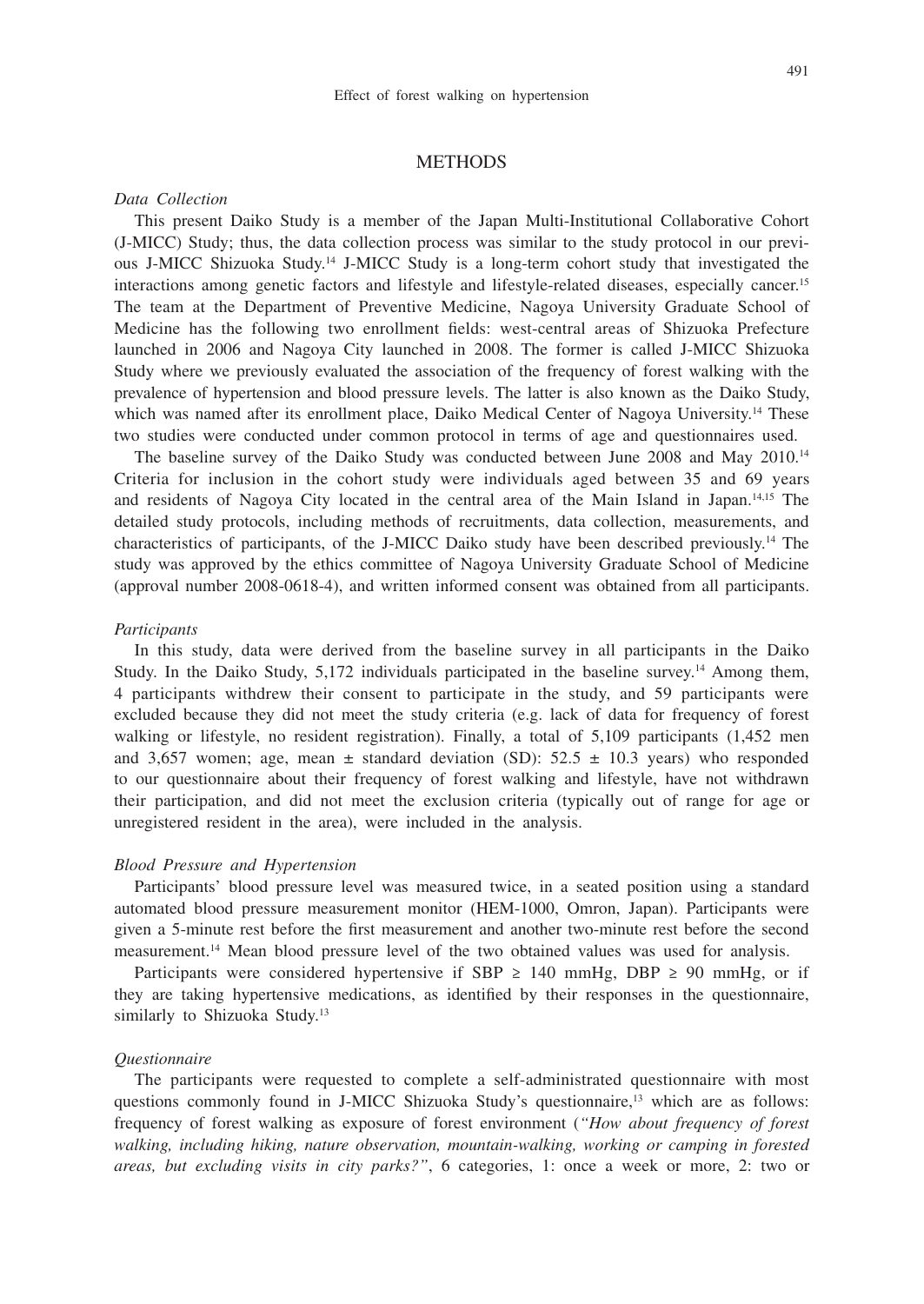## **METHODS**

#### *Data Collection*

This present Daiko Study is a member of the Japan Multi-Institutional Collaborative Cohort (J-MICC) Study; thus, the data collection process was similar to the study protocol in our previous J-MICC Shizuoka Study.14 J-MICC Study is a long-term cohort study that investigated the interactions among genetic factors and lifestyle and lifestyle-related diseases, especially cancer.15 The team at the Department of Preventive Medicine, Nagoya University Graduate School of Medicine has the following two enrollment fields: west-central areas of Shizuoka Prefecture launched in 2006 and Nagoya City launched in 2008. The former is called J-MICC Shizuoka Study where we previously evaluated the association of the frequency of forest walking with the prevalence of hypertension and blood pressure levels. The latter is also known as the Daiko Study, which was named after its enrollment place, Daiko Medical Center of Nagoya University.<sup>14</sup> These two studies were conducted under common protocol in terms of age and questionnaires used.

The baseline survey of the Daiko Study was conducted between June 2008 and May 2010.<sup>14</sup> Criteria for inclusion in the cohort study were individuals aged between 35 and 69 years and residents of Nagoya City located in the central area of the Main Island in Japan.14,15 The detailed study protocols, including methods of recruitments, data collection, measurements, and characteristics of participants, of the J-MICC Daiko study have been described previously.14 The study was approved by the ethics committee of Nagoya University Graduate School of Medicine (approval number 2008-0618-4), and written informed consent was obtained from all participants.

#### *Participants*

In this study, data were derived from the baseline survey in all participants in the Daiko Study. In the Daiko Study, 5,172 individuals participated in the baseline survey.<sup>14</sup> Among them, 4 participants withdrew their consent to participate in the study, and 59 participants were excluded because they did not meet the study criteria (e.g. lack of data for frequency of forest walking or lifestyle, no resident registration). Finally, a total of 5,109 participants (1,452 men and 3,657 women; age, mean  $\pm$  standard deviation (SD): 52.5  $\pm$  10.3 years) who responded to our questionnaire about their frequency of forest walking and lifestyle, have not withdrawn their participation, and did not meet the exclusion criteria (typically out of range for age or unregistered resident in the area), were included in the analysis.

## *Blood Pressure and Hypertension*

Participants' blood pressure level was measured twice, in a seated position using a standard automated blood pressure measurement monitor (HEM-1000, Omron, Japan). Participants were given a 5-minute rest before the first measurement and another two-minute rest before the second measurement.14 Mean blood pressure level of the two obtained values was used for analysis.

Participants were considered hypertensive if SBP  $\geq$  140 mmHg, DBP  $\geq$  90 mmHg, or if they are taking hypertensive medications, as identified by their responses in the questionnaire, similarly to Shizuoka Study.<sup>13</sup>

#### *Questionnaire*

The participants were requested to complete a self-administrated questionnaire with most questions commonly found in J-MICC Shizuoka Study's questionnaire,<sup>13</sup> which are as follows: frequency of forest walking as exposure of forest environment (*"How about frequency of forest walking, including hiking, nature observation, mountain-walking, working or camping in forested areas, but excluding visits in city parks?"*, 6 categories, 1: once a week or more, 2: two or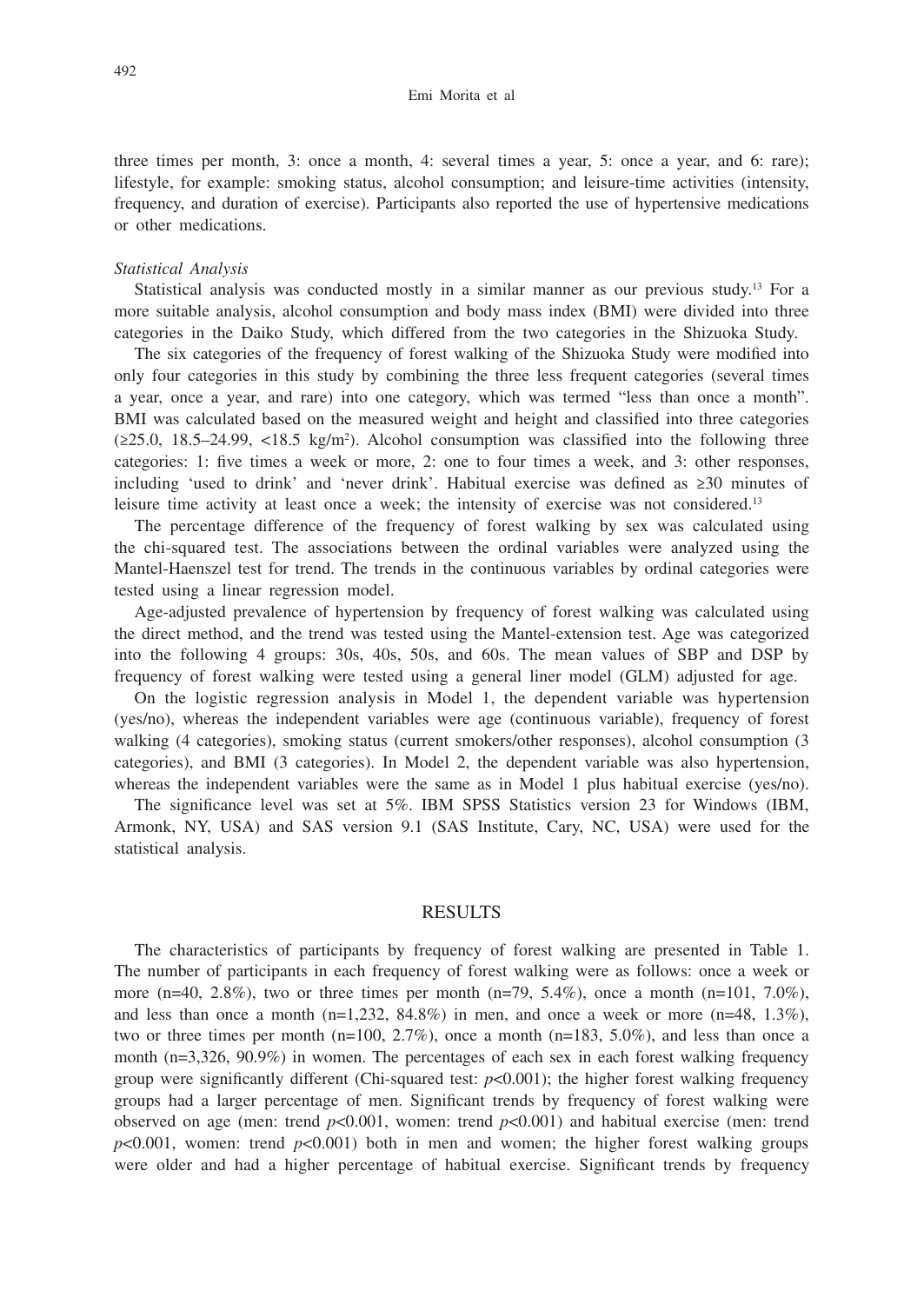three times per month, 3: once a month, 4: several times a year, 5: once a year, and 6: rare); lifestyle, for example: smoking status, alcohol consumption; and leisure-time activities (intensity, frequency, and duration of exercise). Participants also reported the use of hypertensive medications or other medications.

#### *Statistical Analysis*

Statistical analysis was conducted mostly in a similar manner as our previous study.13 For a more suitable analysis, alcohol consumption and body mass index (BMI) were divided into three categories in the Daiko Study, which differed from the two categories in the Shizuoka Study.

The six categories of the frequency of forest walking of the Shizuoka Study were modified into only four categories in this study by combining the three less frequent categories (several times a year, once a year, and rare) into one category, which was termed "less than once a month". BMI was calculated based on the measured weight and height and classified into three categories  $(\geq 25.0, 18.5-24.99, \leq 18.5 \text{ kg/m}^2)$ . Alcohol consumption was classified into the following three categories: 1: five times a week or more, 2: one to four times a week, and 3: other responses, including 'used to drink' and 'never drink'. Habitual exercise was defined as ≥30 minutes of leisure time activity at least once a week; the intensity of exercise was not considered.13

The percentage difference of the frequency of forest walking by sex was calculated using the chi-squared test. The associations between the ordinal variables were analyzed using the Mantel-Haenszel test for trend. The trends in the continuous variables by ordinal categories were tested using a linear regression model.

Age-adjusted prevalence of hypertension by frequency of forest walking was calculated using the direct method, and the trend was tested using the Mantel-extension test. Age was categorized into the following 4 groups: 30s, 40s, 50s, and 60s. The mean values of SBP and DSP by frequency of forest walking were tested using a general liner model (GLM) adjusted for age.

On the logistic regression analysis in Model 1, the dependent variable was hypertension (yes/no), whereas the independent variables were age (continuous variable), frequency of forest walking (4 categories), smoking status (current smokers/other responses), alcohol consumption (3 categories), and BMI (3 categories). In Model 2, the dependent variable was also hypertension, whereas the independent variables were the same as in Model 1 plus habitual exercise (yes/no).

The significance level was set at 5%. IBM SPSS Statistics version 23 for Windows (IBM, Armonk, NY, USA) and SAS version 9.1 (SAS Institute, Cary, NC, USA) were used for the statistical analysis.

#### RESULTS

The characteristics of participants by frequency of forest walking are presented in Table 1. The number of participants in each frequency of forest walking were as follows: once a week or more (n=40, 2.8%), two or three times per month (n=79, 5.4%), once a month (n=101, 7.0%), and less than once a month  $(n=1,232, 84.8\%)$  in men, and once a week or more  $(n=48, 1.3\%)$ , two or three times per month ( $n=100, 2.7\%$ ), once a month ( $n=183, 5.0\%$ ), and less than once a month (n=3,326, 90.9%) in women. The percentages of each sex in each forest walking frequency group were significantly different (Chi-squared test:  $p<0.001$ ); the higher forest walking frequency groups had a larger percentage of men. Significant trends by frequency of forest walking were observed on age (men: trend  $p<0.001$ , women: trend  $p<0.001$ ) and habitual exercise (men: trend  $p<0.001$ , women: trend  $p<0.001$ ) both in men and women; the higher forest walking groups were older and had a higher percentage of habitual exercise. Significant trends by frequency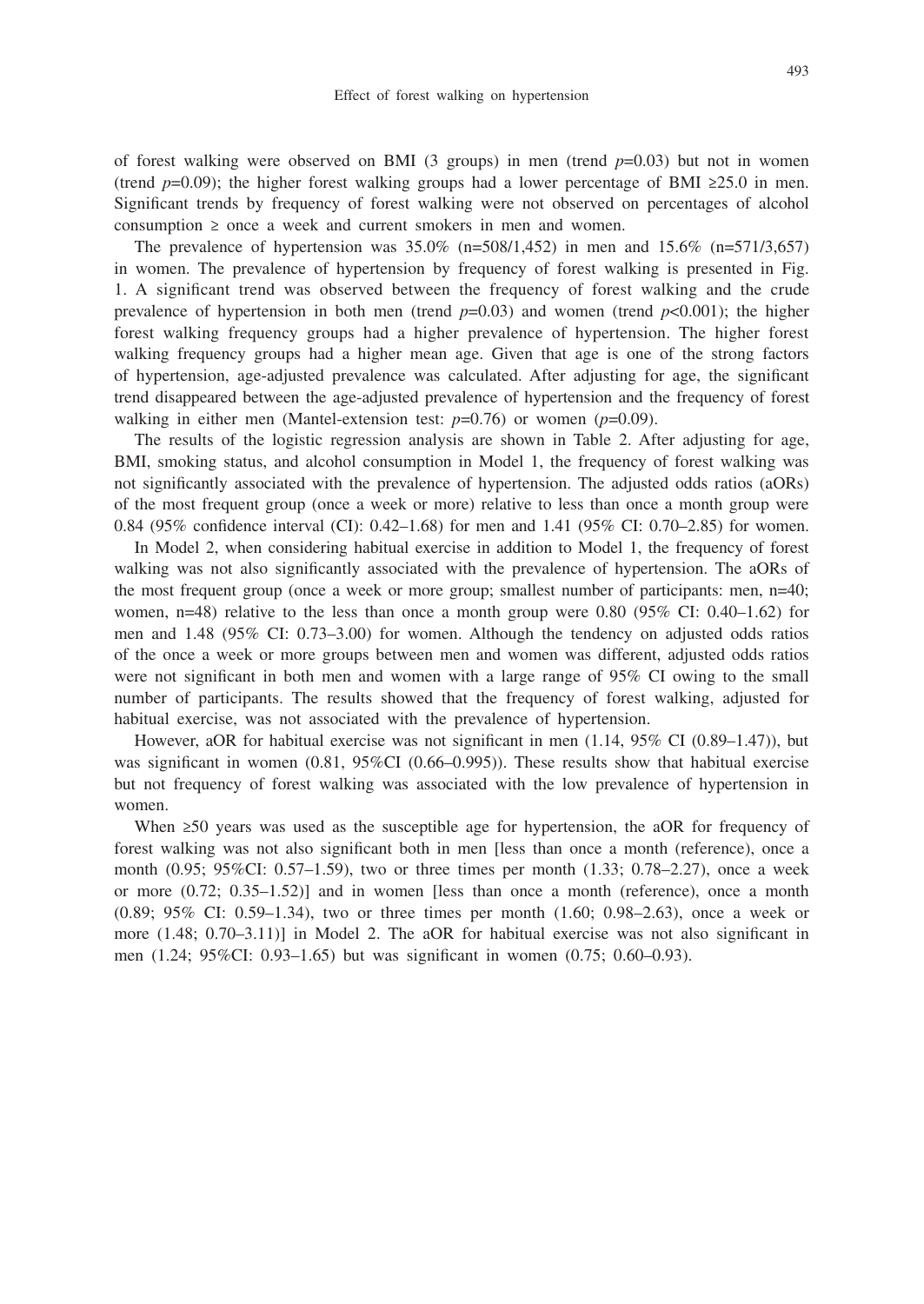of forest walking were observed on BMI (3 groups) in men (trend *p*=0.03) but not in women (trend *p*=0.09); the higher forest walking groups had a lower percentage of BMI ≥25.0 in men. Significant trends by frequency of forest walking were not observed on percentages of alcohol consumption ≥ once a week and current smokers in men and women.

The prevalence of hypertension was  $35.0\%$  (n=508/1,452) in men and  $15.6\%$  (n=571/3,657) in women. The prevalence of hypertension by frequency of forest walking is presented in Fig. 1. A significant trend was observed between the frequency of forest walking and the crude prevalence of hypertension in both men (trend  $p=0.03$ ) and women (trend  $p<0.001$ ); the higher forest walking frequency groups had a higher prevalence of hypertension. The higher forest walking frequency groups had a higher mean age. Given that age is one of the strong factors of hypertension, age-adjusted prevalence was calculated. After adjusting for age, the significant trend disappeared between the age-adjusted prevalence of hypertension and the frequency of forest walking in either men (Mantel-extension test: *p*=0.76) or women (*p*=0.09).

The results of the logistic regression analysis are shown in Table 2. After adjusting for age, BMI, smoking status, and alcohol consumption in Model 1, the frequency of forest walking was not significantly associated with the prevalence of hypertension. The adjusted odds ratios (aORs) of the most frequent group (once a week or more) relative to less than once a month group were 0.84 (95% confidence interval (CI): 0.42–1.68) for men and 1.41 (95% CI: 0.70–2.85) for women.

In Model 2, when considering habitual exercise in addition to Model 1, the frequency of forest walking was not also significantly associated with the prevalence of hypertension. The aORs of the most frequent group (once a week or more group; smallest number of participants: men, n=40; women,  $n=48$ ) relative to the less than once a month group were 0.80 (95% CI: 0.40–1.62) for men and 1.48 (95% CI: 0.73–3.00) for women. Although the tendency on adjusted odds ratios of the once a week or more groups between men and women was different, adjusted odds ratios were not significant in both men and women with a large range of 95% CI owing to the small number of participants. The results showed that the frequency of forest walking, adjusted for habitual exercise, was not associated with the prevalence of hypertension.

However, aOR for habitual exercise was not significant in men (1.14, 95% CI (0.89–1.47)), but was significant in women (0.81, 95%CI (0.66–0.995)). These results show that habitual exercise but not frequency of forest walking was associated with the low prevalence of hypertension in women.

When ≥50 years was used as the susceptible age for hypertension, the aOR for frequency of forest walking was not also significant both in men [less than once a month (reference), once a month (0.95; 95%CI: 0.57–1.59), two or three times per month (1.33; 0.78–2.27), once a week or more  $(0.72; 0.35-1.52)$ ] and in women [less than once a month (reference), once a month (0.89; 95% CI: 0.59–1.34), two or three times per month (1.60; 0.98–2.63), once a week or more (1.48; 0.70–3.11)] in Model 2. The aOR for habitual exercise was not also significant in men (1.24; 95%CI: 0.93–1.65) but was significant in women (0.75; 0.60–0.93).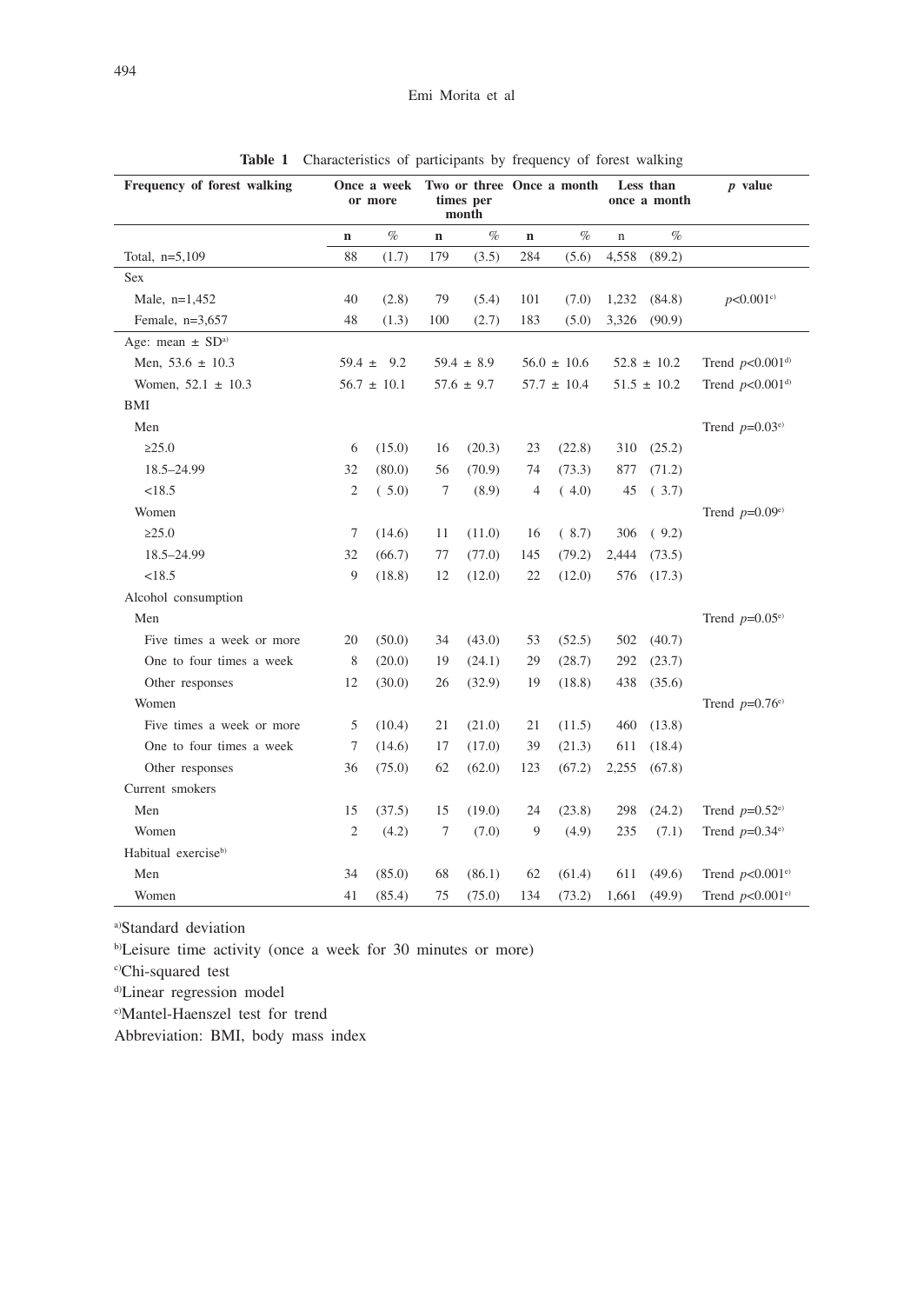| Frequency of forest walking      | Once a week<br>or more |                 |                | times per<br>month |                 | Two or three Once a month |                 | Less than<br>once a month | $p$ value                     |  |
|----------------------------------|------------------------|-----------------|----------------|--------------------|-----------------|---------------------------|-----------------|---------------------------|-------------------------------|--|
|                                  | $\mathbf n$            | $\%$            | $\mathbf n$    | $\%$               | $\bf n$         | $\%$                      | $\mathbf n$     | $\%$                      |                               |  |
| Total, $n=5,109$                 | 88                     | (1.7)           | 179            | (3.5)              | 284             | (5.6)                     | 4,558           | (89.2)                    |                               |  |
| Sex                              |                        |                 |                |                    |                 |                           |                 |                           |                               |  |
| Male, $n=1,452$                  | 40                     | (2.8)           | 79             | (5.4)              | 101             | (7.0)                     | 1,232           | (84.8)                    | p<0.001c                      |  |
| Female, $n=3,657$                | 48                     | (1.3)           | 100            | (2.7)              | 183             | (5.0)                     | 3,326           | (90.9)                    |                               |  |
| Age: mean $\pm$ SD <sup>a)</sup> |                        |                 |                |                    |                 |                           |                 |                           |                               |  |
| Men, $53.6 \pm 10.3$             | $59.4 \pm 9.2$         |                 | $59.4 \pm 8.9$ |                    | $56.0 \pm 10.6$ |                           | $52.8 \pm 10.2$ |                           | Trend $p<0.001^{d}$           |  |
| Women, $52.1 \pm 10.3$           |                        | $56.7 \pm 10.1$ | $57.6 \pm 9.7$ |                    | $57.7 \pm 10.4$ |                           | $51.5 \pm 10.2$ |                           | Trend $p<0.001^{d}$           |  |
| BMI                              |                        |                 |                |                    |                 |                           |                 |                           |                               |  |
| Men                              |                        |                 |                |                    |                 |                           |                 |                           | Trend $p=0.03^{\text{e}}$     |  |
| >25.0                            | 6                      | (15.0)          | 16             | (20.3)             | 23              | (22.8)                    | 310             | (25.2)                    |                               |  |
| 18.5-24.99                       | 32                     | (80.0)          | 56             | (70.9)             | 74              | (73.3)                    | 877             | (71.2)                    |                               |  |
| <18.5                            | $\mathfrak{2}$         | (5.0)           | 7              | (8.9)              | 4               | (4.0)                     | 45              | (3.7)                     |                               |  |
| Women                            |                        |                 |                |                    |                 |                           |                 |                           | Trend $p=0.09e$               |  |
| >25.0                            | 7                      | (14.6)          | 11             | (11.0)             | 16              | (8.7)                     | 306             | (9.2)                     |                               |  |
| 18.5-24.99                       | 32                     | (66.7)          | 77             | (77.0)             | 145             | (79.2)                    | 2,444           | (73.5)                    |                               |  |
| <18.5                            | 9                      | (18.8)          | 12             | (12.0)             | 22              | (12.0)                    | 576             | (17.3)                    |                               |  |
| Alcohol consumption              |                        |                 |                |                    |                 |                           |                 |                           |                               |  |
| Men                              |                        |                 |                |                    |                 |                           |                 |                           | Trend $p=0.05^{\text{e}}$     |  |
| Five times a week or more        | 20                     | (50.0)          | 34             | (43.0)             | 53              | (52.5)                    | 502             | (40.7)                    |                               |  |
| One to four times a week         | 8                      | (20.0)          | 19             | (24.1)             | 29              | (28.7)                    | 292             | (23.7)                    |                               |  |
| Other responses                  | 12                     | (30.0)          | 26             | (32.9)             | 19              | (18.8)                    | 438             | (35.6)                    |                               |  |
| Women                            |                        |                 |                |                    |                 |                           |                 |                           | Trend $p=0.76e$               |  |
| Five times a week or more        | 5                      | (10.4)          | 21             | (21.0)             | 21              | (11.5)                    | 460             | (13.8)                    |                               |  |
| One to four times a week         | 7                      | (14.6)          | 17             | (17.0)             | 39              | (21.3)                    | 611             | (18.4)                    |                               |  |
| Other responses                  | 36                     | (75.0)          | 62             | (62.0)             | 123             | (67.2)                    | 2,255           | (67.8)                    |                               |  |
| Current smokers                  |                        |                 |                |                    |                 |                           |                 |                           |                               |  |
| Men                              | 15                     | (37.5)          | 15             | (19.0)             | 24              | (23.8)                    | 298             | (24.2)                    | Trend $p=0.52^{\text{e}}$     |  |
| Women                            | $\overline{2}$         | (4.2)           | 7              | (7.0)              | 9               | (4.9)                     | 235             | (7.1)                     | Trend $p=0.34e$ <sup>e)</sup> |  |
| Habitual exercise <sup>b)</sup>  |                        |                 |                |                    |                 |                           |                 |                           |                               |  |
| Men                              | 34                     | (85.0)          | 68             | (86.1)             | 62              | (61.4)                    | 611             | (49.6)                    | Trend $p<0.001$ <sup>e)</sup> |  |
| Women                            | 41                     | (85.4)          | 75             | (75.0)             | 134             | (73.2)                    | 1,661           | (49.9)                    | Trend $p<0.001^{\text{e}}$    |  |

**Table 1** Characteristics of participants by frequency of forest walking

a)Standard deviation

b)Leisure time activity (once a week for 30 minutes or more)

c)Chi-squared test

d)Linear regression model

e)Mantel-Haenszel test for trend

Abbreviation: BMI, body mass index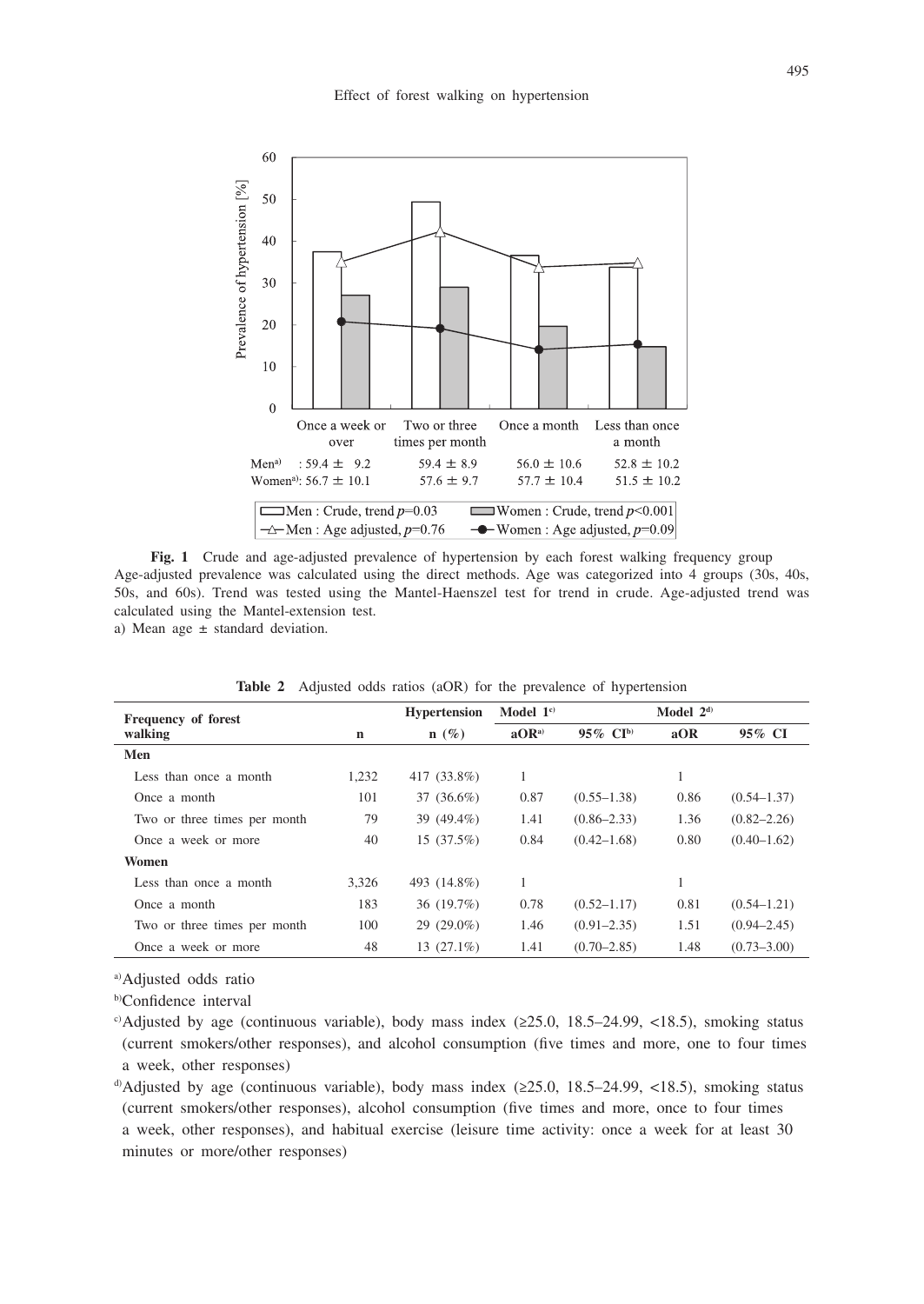

**Fig. 1** Crude and age-adjusted prevalence of hypertension by each forest walking frequency group Age-adjusted prevalence was calculated using the direct methods. Age was categorized into 4 groups (30s, 40s, 50s, and 60s). Trend was tested using the Mantel-Haenszel test for trend in crude. Age-adjusted trend was calculated using the Mantel-extension test.

a) Mean age ± standard deviation.

| Frequency of forest          |       | <b>Hypertension</b> | Model $1^{\circ}$ |                 |      |                 |
|------------------------------|-------|---------------------|-------------------|-----------------|------|-----------------|
| walking                      | n     | $n(\%)$             | aOR <sup>a</sup>  | 95% $CIb$       | aOR  | 95% CI          |
| Men                          |       |                     |                   |                 |      |                 |
| Less than once a month       | 1,232 | 417 (33.8%)         | 1                 |                 |      |                 |
| Once a month                 | 101   | 37 (36.6%)          | 0.87              | $(0.55 - 1.38)$ | 0.86 | $(0.54 - 1.37)$ |
| Two or three times per month | 79    | 39 (49.4%)          | 1.41              | $(0.86 - 2.33)$ | 1.36 | $(0.82 - 2.26)$ |
| Once a week or more          | 40    | 15(37.5%)           | 0.84              | $(0.42 - 1.68)$ | 0.80 | $(0.40 - 1.62)$ |
| Women                        |       |                     |                   |                 |      |                 |
| Less than once a month       | 3.326 | 493 (14.8%)         | 1                 |                 |      |                 |
| Once a month                 | 183   | 36 (19.7%)          | 0.78              | $(0.52 - 1.17)$ | 0.81 | $(0.54 - 1.21)$ |
| Two or three times per month | 100   | $29(29.0\%)$        | 1.46              | $(0.91 - 2.35)$ | 1.51 | $(0.94 - 2.45)$ |
| Once a week or more          | 48    | $13(27.1\%)$        | 1.41              | $(0.70 - 2.85)$ | 1.48 | $(0.73 - 3.00)$ |

**Table 2** Adjusted odds ratios (aOR) for the prevalence of hypertension

a)Adjusted odds ratio

b)Confidence interval

c) Adjusted by age (continuous variable), body mass index (≥25.0, 18.5–24.99, <18.5), smoking status (current smokers/other responses), and alcohol consumption (five times and more, one to four times a week, other responses)

 $\alpha$ ) Adjusted by age (continuous variable), body mass index ( $\geq$ 25.0, 18.5–24.99, <18.5), smoking status (current smokers/other responses), alcohol consumption (five times and more, once to four times a week, other responses), and habitual exercise (leisure time activity: once a week for at least 30 minutes or more/other responses)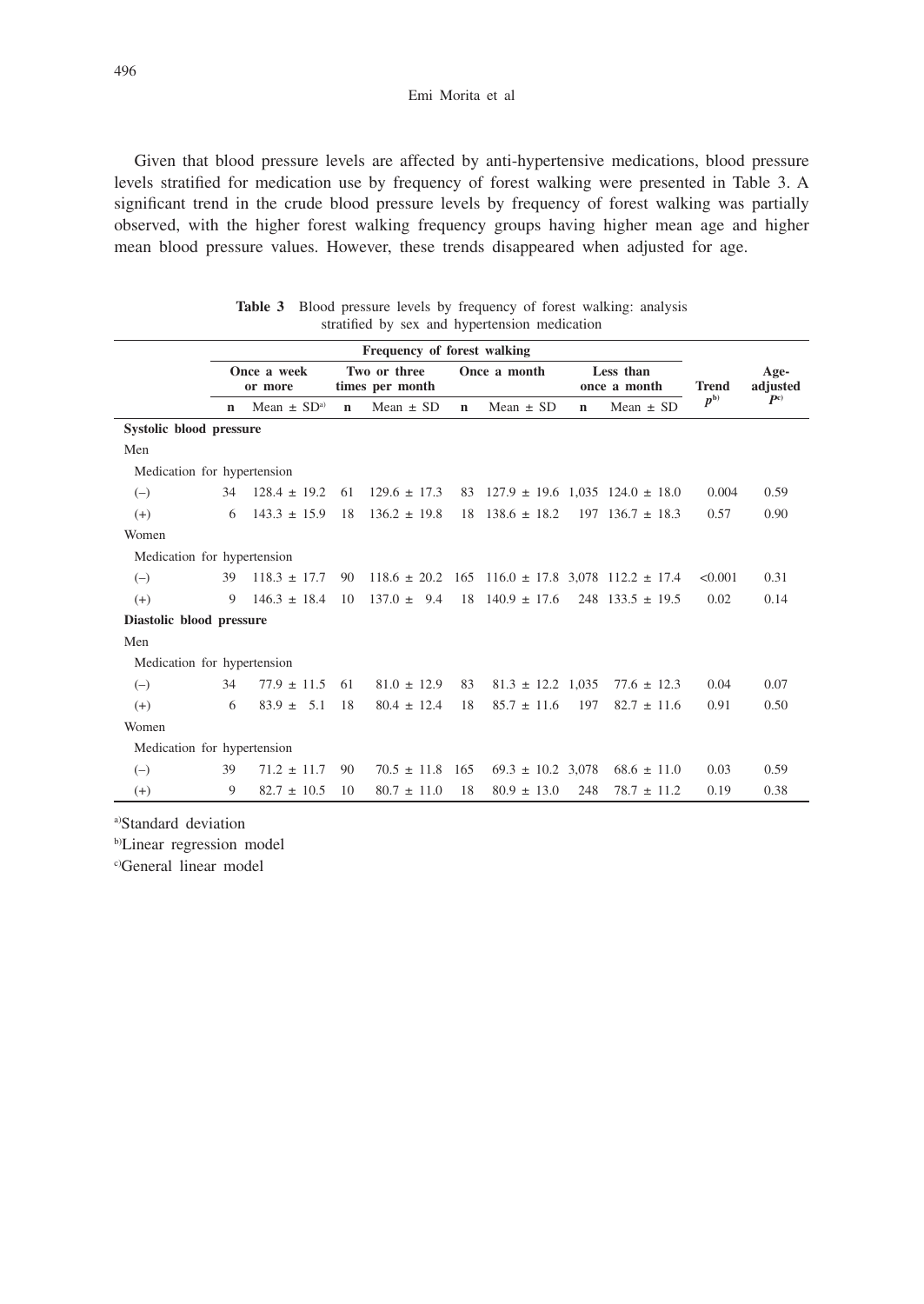#### Emi Morita et al

Given that blood pressure levels are affected by anti-hypertensive medications, blood pressure levels stratified for medication use by frequency of forest walking were presented in Table 3. A significant trend in the crude blood pressure levels by frequency of forest walking was partially observed, with the higher forest walking frequency groups having higher mean age and higher mean blood pressure values. However, these trends disappeared when adjusted for age.

| <b>Table 3</b> Blood pressure levels by frequency of forest walking: analysis |  |
|-------------------------------------------------------------------------------|--|
| stratified by sex and hypertension medication                                 |  |

|                             | Frequency of forest walking |                             |                                 |                  |             |                                                                  |             |                           |              |                  |  |
|-----------------------------|-----------------------------|-----------------------------|---------------------------------|------------------|-------------|------------------------------------------------------------------|-------------|---------------------------|--------------|------------------|--|
|                             | Once a week<br>or more      |                             | Two or three<br>times per month |                  |             | Once a month                                                     |             | Less than<br>once a month | <b>Trend</b> | Age-<br>adjusted |  |
|                             | $\mathbf n$                 | Mean $\pm$ SD <sup>a)</sup> | $\mathbf n$                     | Mean $\pm$ SD    | $\mathbf n$ | Mean $\pm$ SD                                                    | $\mathbf n$ | Mean $\pm$ SD             | $p^{\rm b)}$ | P <sub>c</sub>   |  |
| Systolic blood pressure     |                             |                             |                                 |                  |             |                                                                  |             |                           |              |                  |  |
| Men                         |                             |                             |                                 |                  |             |                                                                  |             |                           |              |                  |  |
| Medication for hypertension |                             |                             |                                 |                  |             |                                                                  |             |                           |              |                  |  |
| $(-)$                       | 34                          | $128.4 \pm 19.2$            | 61                              | $129.6 \pm 17.3$ |             | 83 $127.9 \pm 19.6$ 1.035 $124.0 \pm 18.0$                       |             |                           | 0.004        | 0.59             |  |
| $(+)$                       | 6                           | $143.3 \pm 15.9$            | 18                              | $136.2 \pm 19.8$ |             | $18$ $138.6 \pm 18.2$                                            |             | $197$ 136.7 $\pm$ 18.3    | 0.57         | 0.90             |  |
| Women                       |                             |                             |                                 |                  |             |                                                                  |             |                           |              |                  |  |
| Medication for hypertension |                             |                             |                                 |                  |             |                                                                  |             |                           |              |                  |  |
| $(-)$                       | 39                          | $118.3 \pm 17.7$            | 90                              |                  |             | $118.6 \pm 20.2$ $165$ $116.0 \pm 17.8$ $3,078$ $112.2 \pm 17.4$ |             |                           | < 0.001      | 0.31             |  |
| $(+)$                       | 9                           | $146.3 \pm 18.4$            | 10                              | $137.0 \pm 9.4$  |             | $18 \quad 140.9 \pm 17.6$                                        |             | $248$ 133.5 $\pm$ 19.5    | 0.02         | 0.14             |  |
| Diastolic blood pressure    |                             |                             |                                 |                  |             |                                                                  |             |                           |              |                  |  |
| Men                         |                             |                             |                                 |                  |             |                                                                  |             |                           |              |                  |  |
| Medication for hypertension |                             |                             |                                 |                  |             |                                                                  |             |                           |              |                  |  |
| $(-)$                       | 34                          | $77.9 \pm 11.5$             | 61                              | $81.0 \pm 12.9$  | 83          | $81.3 \pm 12.2 \pm 1.035$                                        |             | $77.6 \pm 12.3$           | 0.04         | 0.07             |  |
| $(+)$                       | 6                           | $83.9 +$<br>5.1             | 18                              | $80.4 \pm 12.4$  | 18          | $85.7 \pm 11.6$                                                  | 197         | $82.7 \pm 11.6$           | 0.91         | 0.50             |  |
| Women                       |                             |                             |                                 |                  |             |                                                                  |             |                           |              |                  |  |
| Medication for hypertension |                             |                             |                                 |                  |             |                                                                  |             |                           |              |                  |  |
| $(-)$                       | 39                          | $71.2 \pm 11.7$             | 90                              | $70.5 \pm 11.8$  | 165         | $69.3 \pm 10.2$ 3,078                                            |             | $68.6 \pm 11.0$           | 0.03         | 0.59             |  |
| $(+)$                       | 9                           | $82.7 \pm 10.5$             | 10                              | $80.7 \pm 11.0$  | 18          | $80.9 \pm 13.0$                                                  | 248         | $78.7 \pm 11.2$           | 0.19         | 0.38             |  |
|                             |                             |                             |                                 |                  |             |                                                                  |             |                           |              |                  |  |

a)Standard deviation

b)Linear regression model

c)General linear model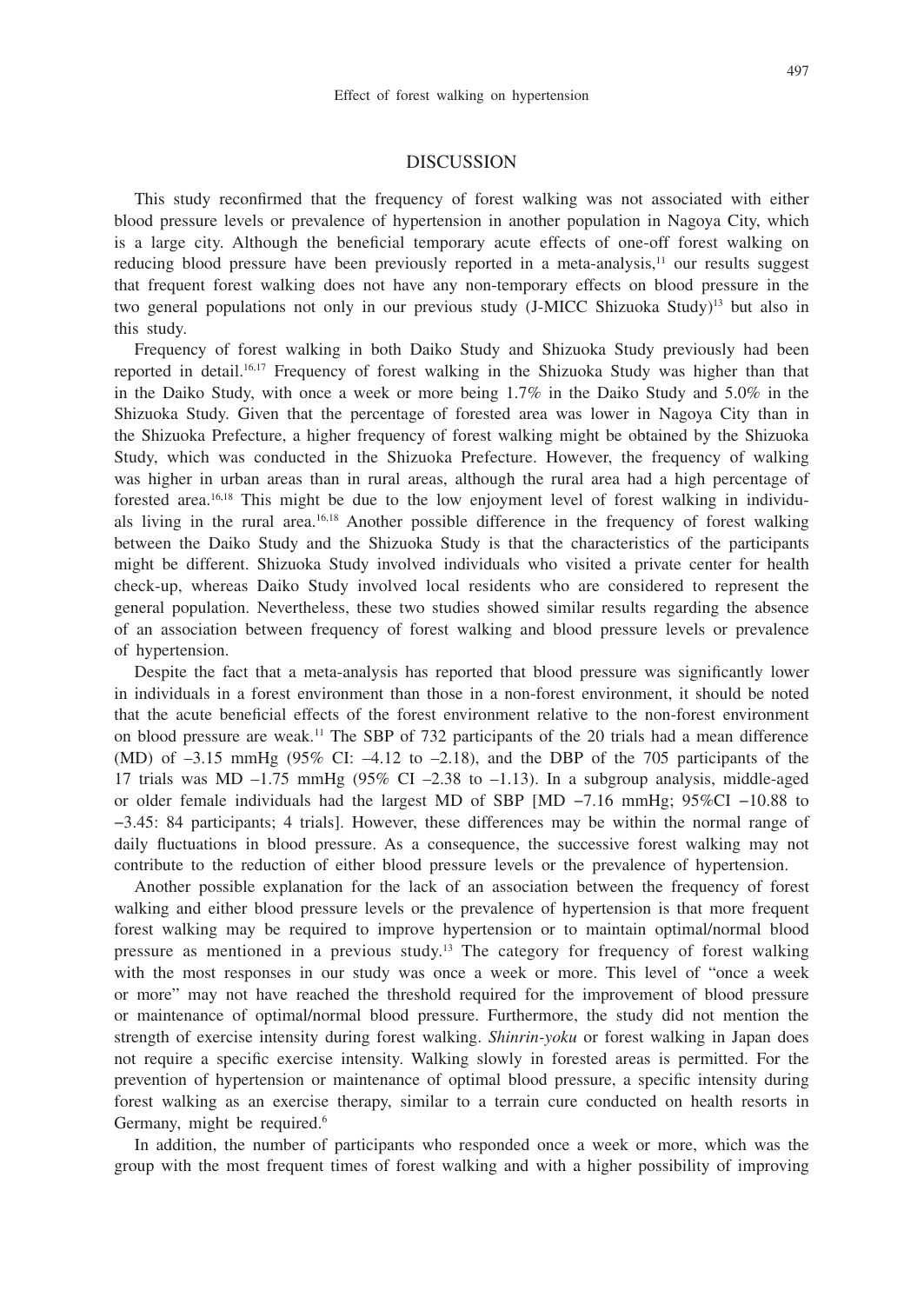## DISCUSSION

This study reconfirmed that the frequency of forest walking was not associated with either blood pressure levels or prevalence of hypertension in another population in Nagoya City, which is a large city. Although the beneficial temporary acute effects of one-off forest walking on reducing blood pressure have been previously reported in a meta-analysis, $\mu$  our results suggest that frequent forest walking does not have any non-temporary effects on blood pressure in the two general populations not only in our previous study (J-MICC Shizuoka Study)<sup>13</sup> but also in this study.

Frequency of forest walking in both Daiko Study and Shizuoka Study previously had been reported in detail.16,17 Frequency of forest walking in the Shizuoka Study was higher than that in the Daiko Study, with once a week or more being 1.7% in the Daiko Study and 5.0% in the Shizuoka Study. Given that the percentage of forested area was lower in Nagoya City than in the Shizuoka Prefecture, a higher frequency of forest walking might be obtained by the Shizuoka Study, which was conducted in the Shizuoka Prefecture. However, the frequency of walking was higher in urban areas than in rural areas, although the rural area had a high percentage of forested area.16,18 This might be due to the low enjoyment level of forest walking in individuals living in the rural area.16,18 Another possible difference in the frequency of forest walking between the Daiko Study and the Shizuoka Study is that the characteristics of the participants might be different. Shizuoka Study involved individuals who visited a private center for health check-up, whereas Daiko Study involved local residents who are considered to represent the general population. Nevertheless, these two studies showed similar results regarding the absence of an association between frequency of forest walking and blood pressure levels or prevalence of hypertension.

Despite the fact that a meta-analysis has reported that blood pressure was significantly lower in individuals in a forest environment than those in a non-forest environment, it should be noted that the acute beneficial effects of the forest environment relative to the non-forest environment on blood pressure are weak.<sup>11</sup> The SBP of 732 participants of the 20 trials had a mean difference (MD) of  $-3.15$  mmHg (95% CI:  $-4.12$  to  $-2.18$ ), and the DBP of the 705 participants of the 17 trials was MD –1.75 mmHg (95% CI –2.38 to –1.13). In a subgroup analysis, middle-aged or older female individuals had the largest MD of SBP [MD −7.16 mmHg; 95%CI −10.88 to −3.45: 84 participants; 4 trials]. However, these differences may be within the normal range of daily fluctuations in blood pressure. As a consequence, the successive forest walking may not contribute to the reduction of either blood pressure levels or the prevalence of hypertension.

Another possible explanation for the lack of an association between the frequency of forest walking and either blood pressure levels or the prevalence of hypertension is that more frequent forest walking may be required to improve hypertension or to maintain optimal/normal blood pressure as mentioned in a previous study.13 The category for frequency of forest walking with the most responses in our study was once a week or more. This level of "once a week or more" may not have reached the threshold required for the improvement of blood pressure or maintenance of optimal/normal blood pressure. Furthermore, the study did not mention the strength of exercise intensity during forest walking. *Shinrin-yoku* or forest walking in Japan does not require a specific exercise intensity. Walking slowly in forested areas is permitted. For the prevention of hypertension or maintenance of optimal blood pressure, a specific intensity during forest walking as an exercise therapy, similar to a terrain cure conducted on health resorts in Germany, might be required.<sup>6</sup>

In addition, the number of participants who responded once a week or more, which was the group with the most frequent times of forest walking and with a higher possibility of improving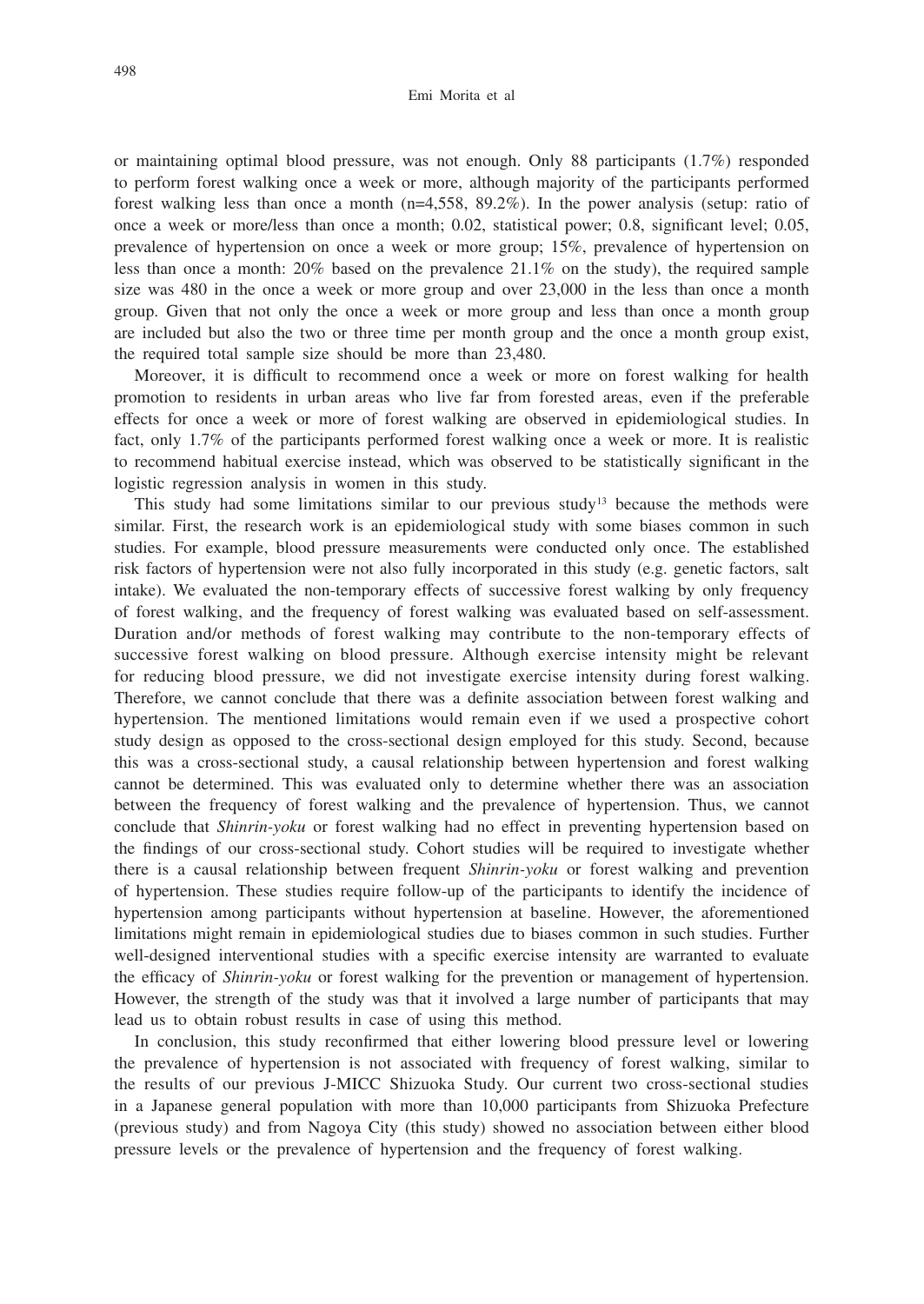#### Emi Morita et al

or maintaining optimal blood pressure, was not enough. Only 88 participants (1.7%) responded to perform forest walking once a week or more, although majority of the participants performed forest walking less than once a month  $(n=4,558, 89.2\%)$ . In the power analysis (setup: ratio of once a week or more/less than once a month; 0.02, statistical power; 0.8, significant level; 0.05, prevalence of hypertension on once a week or more group; 15%, prevalence of hypertension on less than once a month:  $20\%$  based on the prevalence  $21.1\%$  on the study), the required sample size was 480 in the once a week or more group and over 23,000 in the less than once a month group. Given that not only the once a week or more group and less than once a month group are included but also the two or three time per month group and the once a month group exist, the required total sample size should be more than 23,480.

Moreover, it is difficult to recommend once a week or more on forest walking for health promotion to residents in urban areas who live far from forested areas, even if the preferable effects for once a week or more of forest walking are observed in epidemiological studies. In fact, only 1.7% of the participants performed forest walking once a week or more. It is realistic to recommend habitual exercise instead, which was observed to be statistically significant in the logistic regression analysis in women in this study.

This study had some limitations similar to our previous study<sup>13</sup> because the methods were similar. First, the research work is an epidemiological study with some biases common in such studies. For example, blood pressure measurements were conducted only once. The established risk factors of hypertension were not also fully incorporated in this study (e.g. genetic factors, salt intake). We evaluated the non-temporary effects of successive forest walking by only frequency of forest walking, and the frequency of forest walking was evaluated based on self-assessment. Duration and/or methods of forest walking may contribute to the non-temporary effects of successive forest walking on blood pressure. Although exercise intensity might be relevant for reducing blood pressure, we did not investigate exercise intensity during forest walking. Therefore, we cannot conclude that there was a definite association between forest walking and hypertension. The mentioned limitations would remain even if we used a prospective cohort study design as opposed to the cross-sectional design employed for this study. Second, because this was a cross-sectional study, a causal relationship between hypertension and forest walking cannot be determined. This was evaluated only to determine whether there was an association between the frequency of forest walking and the prevalence of hypertension. Thus, we cannot conclude that *Shinrin-yoku* or forest walking had no effect in preventing hypertension based on the findings of our cross-sectional study. Cohort studies will be required to investigate whether there is a causal relationship between frequent *Shinrin-yoku* or forest walking and prevention of hypertension. These studies require follow-up of the participants to identify the incidence of hypertension among participants without hypertension at baseline. However, the aforementioned limitations might remain in epidemiological studies due to biases common in such studies. Further well-designed interventional studies with a specific exercise intensity are warranted to evaluate the efficacy of *Shinrin-yoku* or forest walking for the prevention or management of hypertension. However, the strength of the study was that it involved a large number of participants that may lead us to obtain robust results in case of using this method.

In conclusion, this study reconfirmed that either lowering blood pressure level or lowering the prevalence of hypertension is not associated with frequency of forest walking, similar to the results of our previous J-MICC Shizuoka Study. Our current two cross-sectional studies in a Japanese general population with more than 10,000 participants from Shizuoka Prefecture (previous study) and from Nagoya City (this study) showed no association between either blood pressure levels or the prevalence of hypertension and the frequency of forest walking.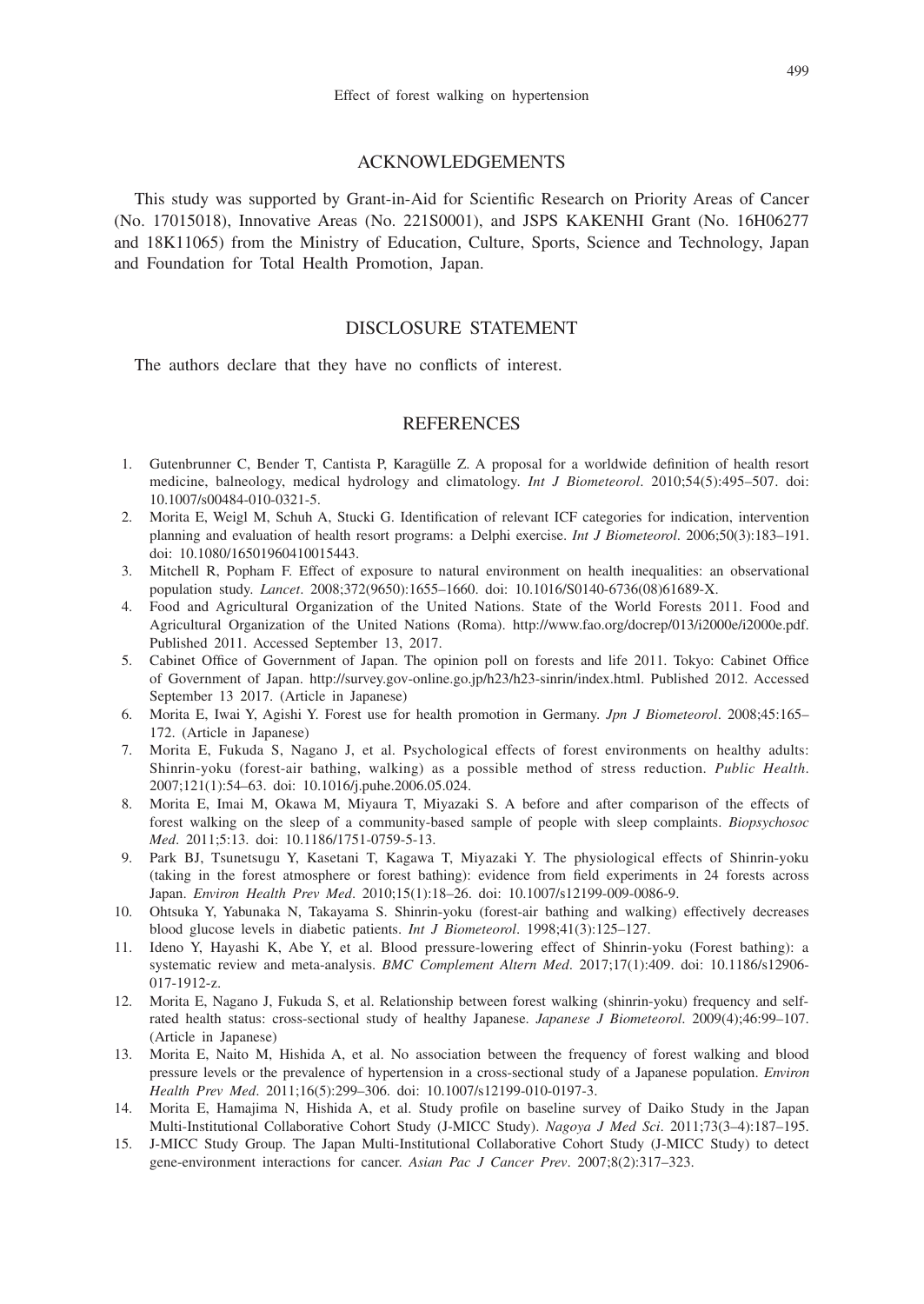#### ACKNOWLEDGEMENTS

This study was supported by Grant-in-Aid for Scientific Research on Priority Areas of Cancer (No. 17015018), Innovative Areas (No. 221S0001), and JSPS KAKENHI Grant (No. 16H06277 and 18K11065) from the Ministry of Education, Culture, Sports, Science and Technology, Japan and Foundation for Total Health Promotion, Japan.

## DISCLOSURE STATEMENT

The authors declare that they have no conflicts of interest.

## **REFERENCES**

- 1. Gutenbrunner C, Bender T, Cantista P, Karagülle Z. A proposal for a worldwide definition of health resort medicine, balneology, medical hydrology and climatology. *Int J Biometeorol*. 2010;54(5):495–507. doi: 10.1007/s00484-010-0321-5.
- 2. Morita E, Weigl M, Schuh A, Stucki G. Identification of relevant ICF categories for indication, intervention planning and evaluation of health resort programs: a Delphi exercise. *Int J Biometeorol*. 2006;50(3):183–191. doi: 10.1080/16501960410015443.
- 3. Mitchell R, Popham F. Effect of exposure to natural environment on health inequalities: an observational population study. *Lancet*. 2008;372(9650):1655–1660. doi: 10.1016/S0140-6736(08)61689-X.
- 4. Food and Agricultural Organization of the United Nations. State of the World Forests 2011. Food and Agricultural Organization of the United Nations (Roma). http://www.fao.org/docrep/013/i2000e/i2000e.pdf. Published 2011. Accessed September 13, 2017.
- 5. Cabinet Office of Government of Japan. The opinion poll on forests and life 2011. Tokyo: Cabinet Office of Government of Japan. http://survey.gov-online.go.jp/h23/h23-sinrin/index.html. Published 2012. Accessed September 13 2017. (Article in Japanese)
- 6. Morita E, Iwai Y, Agishi Y. Forest use for health promotion in Germany. *Jpn J Biometeorol*. 2008;45:165– 172. (Article in Japanese)
- 7. Morita E, Fukuda S, Nagano J, et al. Psychological effects of forest environments on healthy adults: Shinrin-yoku (forest-air bathing, walking) as a possible method of stress reduction. *Public Health*. 2007;121(1):54–63. doi: 10.1016/j.puhe.2006.05.024.
- 8. Morita E, Imai M, Okawa M, Miyaura T, Miyazaki S. A before and after comparison of the effects of forest walking on the sleep of a community-based sample of people with sleep complaints. *Biopsychosoc Med*. 2011;5:13. doi: 10.1186/1751-0759-5-13.
- 9. Park BJ, Tsunetsugu Y, Kasetani T, Kagawa T, Miyazaki Y. The physiological effects of Shinrin-yoku (taking in the forest atmosphere or forest bathing): evidence from field experiments in 24 forests across Japan. *Environ Health Prev Med*. 2010;15(1):18–26. doi: 10.1007/s12199-009-0086-9.
- 10. Ohtsuka Y, Yabunaka N, Takayama S. Shinrin-yoku (forest-air bathing and walking) effectively decreases blood glucose levels in diabetic patients. *Int J Biometeorol*. 1998;41(3):125–127.
- 11. Ideno Y, Hayashi K, Abe Y, et al. Blood pressure-lowering effect of Shinrin-yoku (Forest bathing): a systematic review and meta-analysis. *BMC Complement Altern Med*. 2017;17(1):409. doi: 10.1186/s12906- 017-1912-z.
- 12. Morita E, Nagano J, Fukuda S, et al. Relationship between forest walking (shinrin-yoku) frequency and selfrated health status: cross-sectional study of healthy Japanese. *Japanese J Biometeorol*. 2009(4);46:99–107. (Article in Japanese)
- 13. Morita E, Naito M, Hishida A, et al. No association between the frequency of forest walking and blood pressure levels or the prevalence of hypertension in a cross-sectional study of a Japanese population. *Environ Health Prev Med*. 2011;16(5):299–306. doi: 10.1007/s12199-010-0197-3.
- 14. Morita E, Hamajima N, Hishida A, et al. Study profile on baseline survey of Daiko Study in the Japan Multi-Institutional Collaborative Cohort Study (J-MICC Study). *Nagoya J Med Sci*. 2011;73(3–4):187–195.
- 15. J-MICC Study Group. The Japan Multi-Institutional Collaborative Cohort Study (J-MICC Study) to detect gene-environment interactions for cancer. *Asian Pac J Cancer Prev*. 2007;8(2):317–323.